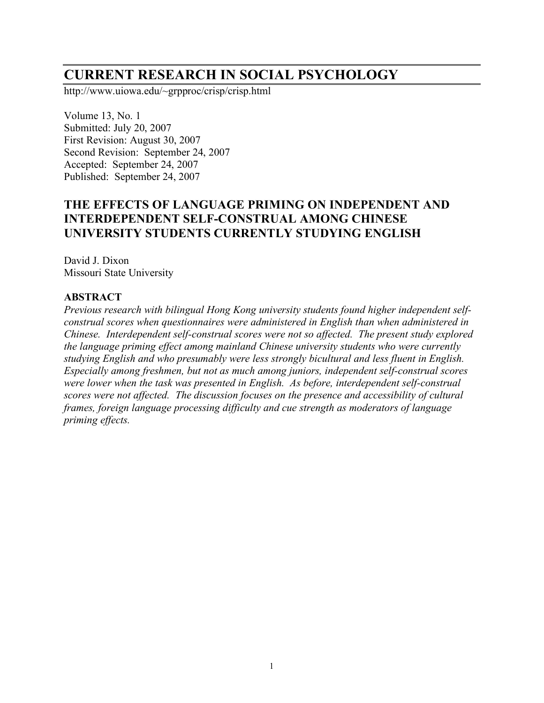# **CURRENT RESEARCH IN SOCIAL PSYCHOLOGY**

http://www.uiowa.edu/~grpproc/crisp/crisp.html

Volume 13, No. 1 Submitted: July 20, 2007 First Revision: August 30, 2007 Second Revision: September 24, 2007 Accepted: September 24, 2007 Published: September 24, 2007

## **THE EFFECTS OF LANGUAGE PRIMING ON INDEPENDENT AND INTERDEPENDENT SELF-CONSTRUAL AMONG CHINESE UNIVERSITY STUDENTS CURRENTLY STUDYING ENGLISH**

David J. Dixon Missouri State University

#### **ABSTRACT**

*Previous research with bilingual Hong Kong university students found higher independent selfconstrual scores when questionnaires were administered in English than when administered in Chinese. Interdependent self-construal scores were not so affected. The present study explored the language priming effect among mainland Chinese university students who were currently studying English and who presumably were less strongly bicultural and less fluent in English. Especially among freshmen, but not as much among juniors, independent self-construal scores were lower when the task was presented in English. As before, interdependent self-construal scores were not affected. The discussion focuses on the presence and accessibility of cultural frames, foreign language processing difficulty and cue strength as moderators of language priming effects.*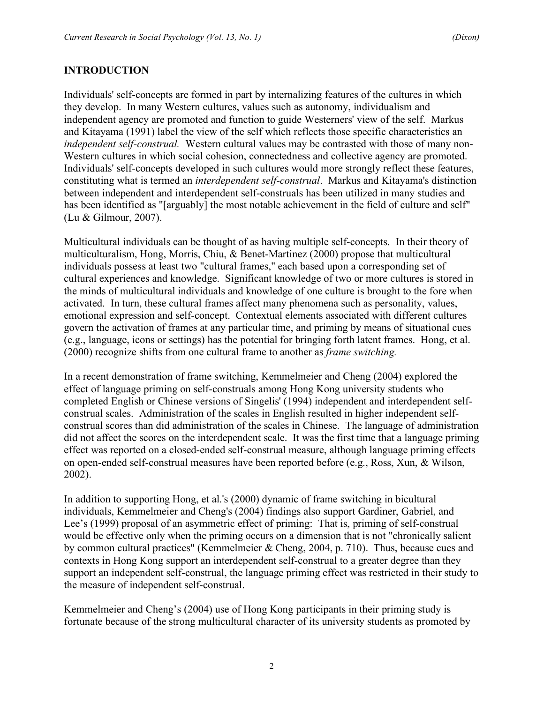#### **INTRODUCTION**

Individuals' self-concepts are formed in part by internalizing features of the cultures in which they develop. In many Western cultures, values such as autonomy, individualism and independent agency are promoted and function to guide Westerners' view of the self. Markus and Kitayama (1991) label the view of the self which reflects those specific characteristics an *independent self-construal.* Western cultural values may be contrasted with those of many non-Western cultures in which social cohesion, connectedness and collective agency are promoted. Individuals' self-concepts developed in such cultures would more strongly reflect these features, constituting what is termed an *interdependent self-construal*. Markus and Kitayama's distinction between independent and interdependent self-construals has been utilized in many studies and has been identified as "[arguably] the most notable achievement in the field of culture and self" (Lu & Gilmour, 2007).

Multicultural individuals can be thought of as having multiple self-concepts. In their theory of multiculturalism, Hong, Morris, Chiu, & Benet-Martinez (2000) propose that multicultural individuals possess at least two "cultural frames," each based upon a corresponding set of cultural experiences and knowledge. Significant knowledge of two or more cultures is stored in the minds of multicultural individuals and knowledge of one culture is brought to the fore when activated. In turn, these cultural frames affect many phenomena such as personality, values, emotional expression and self-concept. Contextual elements associated with different cultures govern the activation of frames at any particular time, and priming by means of situational cues (e.g., language, icons or settings) has the potential for bringing forth latent frames. Hong, et al. (2000) recognize shifts from one cultural frame to another as *frame switching.*

In a recent demonstration of frame switching, Kemmelmeier and Cheng (2004) explored the effect of language priming on self-construals among Hong Kong university students who completed English or Chinese versions of Singelis' (1994) independent and interdependent selfconstrual scales. Administration of the scales in English resulted in higher independent selfconstrual scores than did administration of the scales in Chinese. The language of administration did not affect the scores on the interdependent scale. It was the first time that a language priming effect was reported on a closed-ended self-construal measure, although language priming effects on open-ended self-construal measures have been reported before (e.g., Ross, Xun, & Wilson, 2002).

In addition to supporting Hong, et al.'s (2000) dynamic of frame switching in bicultural individuals, Kemmelmeier and Cheng's (2004) findings also support Gardiner, Gabriel, and Lee's (1999) proposal of an asymmetric effect of priming: That is, priming of self-construal would be effective only when the priming occurs on a dimension that is not "chronically salient by common cultural practices" (Kemmelmeier & Cheng, 2004, p. 710). Thus, because cues and contexts in Hong Kong support an interdependent self-construal to a greater degree than they support an independent self-construal, the language priming effect was restricted in their study to the measure of independent self-construal.

Kemmelmeier and Cheng's (2004) use of Hong Kong participants in their priming study is fortunate because of the strong multicultural character of its university students as promoted by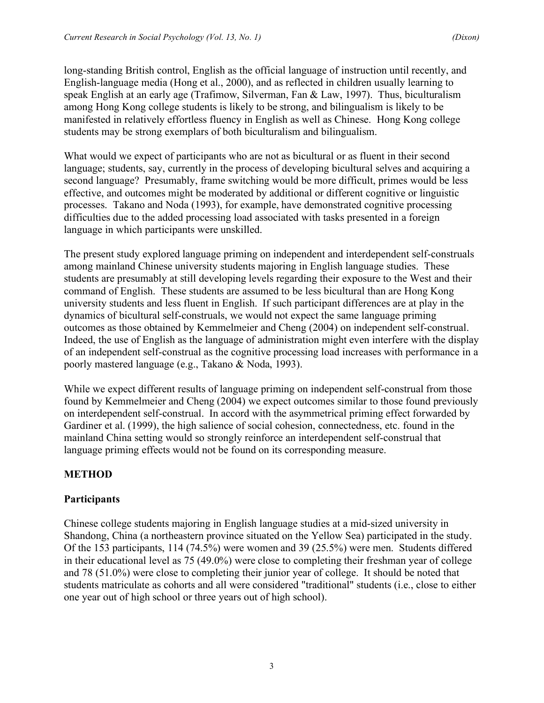long-standing British control, English as the official language of instruction until recently, and English-language media (Hong et al., 2000), and as reflected in children usually learning to speak English at an early age (Trafimow, Silverman, Fan & Law, 1997). Thus, biculturalism among Hong Kong college students is likely to be strong, and bilingualism is likely to be manifested in relatively effortless fluency in English as well as Chinese. Hong Kong college students may be strong exemplars of both biculturalism and bilingualism.

What would we expect of participants who are not as bicultural or as fluent in their second language; students, say, currently in the process of developing bicultural selves and acquiring a second language? Presumably, frame switching would be more difficult, primes would be less effective, and outcomes might be moderated by additional or different cognitive or linguistic processes. Takano and Noda (1993), for example, have demonstrated cognitive processing difficulties due to the added processing load associated with tasks presented in a foreign language in which participants were unskilled.

The present study explored language priming on independent and interdependent self-construals among mainland Chinese university students majoring in English language studies. These students are presumably at still developing levels regarding their exposure to the West and their command of English. These students are assumed to be less bicultural than are Hong Kong university students and less fluent in English. If such participant differences are at play in the dynamics of bicultural self-construals, we would not expect the same language priming outcomes as those obtained by Kemmelmeier and Cheng (2004) on independent self-construal. Indeed, the use of English as the language of administration might even interfere with the display of an independent self-construal as the cognitive processing load increases with performance in a poorly mastered language (e.g., Takano & Noda, 1993).

While we expect different results of language priming on independent self-construal from those found by Kemmelmeier and Cheng (2004) we expect outcomes similar to those found previously on interdependent self-construal. In accord with the asymmetrical priming effect forwarded by Gardiner et al. (1999), the high salience of social cohesion, connectedness, etc. found in the mainland China setting would so strongly reinforce an interdependent self-construal that language priming effects would not be found on its corresponding measure.

## **METHOD**

#### **Participants**

Chinese college students majoring in English language studies at a mid-sized university in Shandong, China (a northeastern province situated on the Yellow Sea) participated in the study. Of the 153 participants, 114 (74.5%) were women and 39 (25.5%) were men. Students differed in their educational level as 75 (49.0%) were close to completing their freshman year of college and 78 (51.0%) were close to completing their junior year of college. It should be noted that students matriculate as cohorts and all were considered "traditional" students (i.e., close to either one year out of high school or three years out of high school).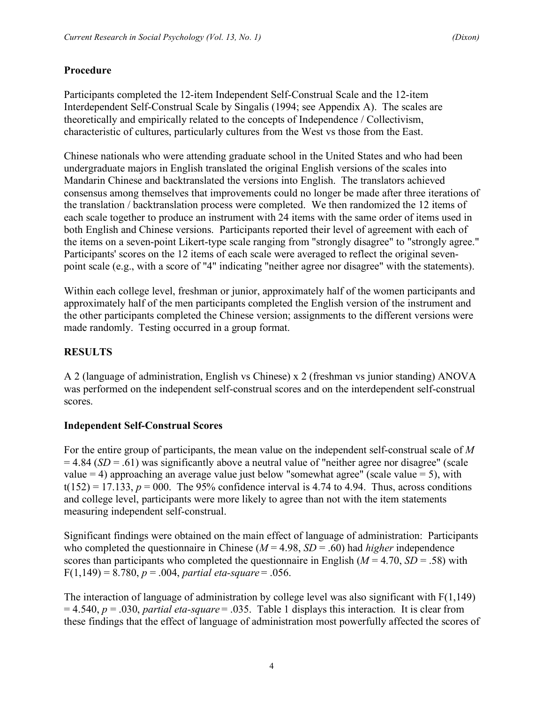## **Procedure**

Participants completed the 12-item Independent Self-Construal Scale and the 12-item Interdependent Self-Construal Scale by Singalis (1994; see Appendix A). The scales are theoretically and empirically related to the concepts of Independence / Collectivism, characteristic of cultures, particularly cultures from the West vs those from the East.

Chinese nationals who were attending graduate school in the United States and who had been undergraduate majors in English translated the original English versions of the scales into Mandarin Chinese and backtranslated the versions into English. The translators achieved consensus among themselves that improvements could no longer be made after three iterations of the translation / backtranslation process were completed. We then randomized the 12 items of each scale together to produce an instrument with 24 items with the same order of items used in both English and Chinese versions. Participants reported their level of agreement with each of the items on a seven-point Likert-type scale ranging from "strongly disagree" to "strongly agree." Participants' scores on the 12 items of each scale were averaged to reflect the original sevenpoint scale (e.g., with a score of "4" indicating "neither agree nor disagree" with the statements).

Within each college level, freshman or junior, approximately half of the women participants and approximately half of the men participants completed the English version of the instrument and the other participants completed the Chinese version; assignments to the different versions were made randomly. Testing occurred in a group format.

# **RESULTS**

A 2 (language of administration, English vs Chinese) x 2 (freshman vs junior standing) ANOVA was performed on the independent self-construal scores and on the interdependent self-construal scores.

## **Independent Self-Construal Scores**

For the entire group of participants, the mean value on the independent self-construal scale of *M*  $= 4.84$  (*SD* = .61) was significantly above a neutral value of "neither agree nor disagree" (scale value  $= 4$ ) approaching an average value just below "somewhat agree" (scale value  $= 5$ ), with  $t(152) = 17.133$ ,  $p = 000$ . The 95% confidence interval is 4.74 to 4.94. Thus, across conditions and college level, participants were more likely to agree than not with the item statements measuring independent self-construal.

Significant findings were obtained on the main effect of language of administration: Participants who completed the questionnaire in Chinese ( $M = 4.98$ ,  $SD = .60$ ) had *higher* independence scores than participants who completed the questionnaire in English  $(M = 4.70, SD = .58)$  with  $F(1,149) = 8.780, p = .004, partial \text{ eta-square} = .056.$ 

The interaction of language of administration by college level was also significant with  $F(1,149)$ = 4.540, *p* = .030, *partial eta-square* = .035. Table 1 displays this interaction. It is clear from these findings that the effect of language of administration most powerfully affected the scores of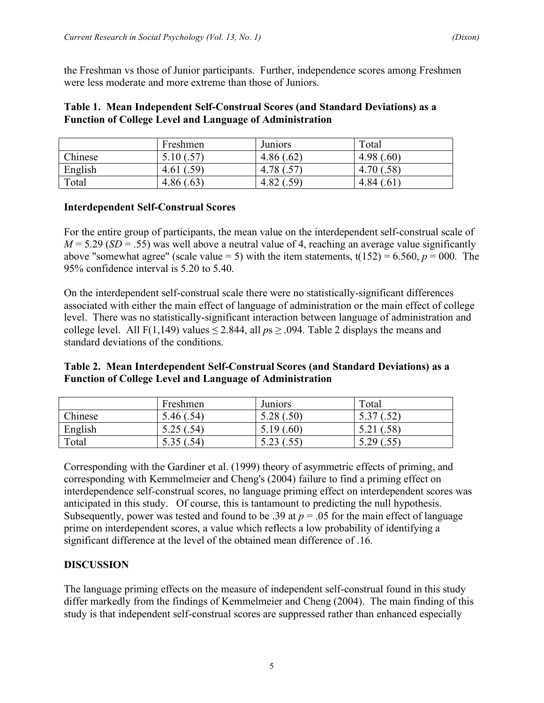the Freshman vs those of Junior participants. Further, independence scores among Freshmen were less moderate and more extreme than those of Juniors.

#### **Table 1. Mean Independent Self-Construal Scores (and Standard Deviations) as a Function of College Level and Language of Administration**

|         | Freshmen   | <b>Juniors</b> | Total                   |
|---------|------------|----------------|-------------------------|
| Chinese | 5.10 (.57) | 4.86(.62)      | 4.98(.60)               |
| English | 4.61(.59)  | 4.78 (.57)     | $.58^{\circ}$<br>4.70 ( |
| Total   | 4.86(.63)  | 4.82(.59)      | 4.84(.61)               |

#### **Interdependent Self-Construal Scores**

For the entire group of participants, the mean value on the interdependent self-construal scale of  $M = 5.29$  (*SD* = .55) was well above a neutral value of 4, reaching an average value significantly above "somewhat agree" (scale value = 5) with the item statements,  $t(152) = 6.560$ ,  $p = 000$ . The 95% confidence interval is 5.20 to 5.40.

On the interdependent self-construal scale there were no statistically-significant differences associated with either the main effect of language of administration or the main effect of college level. There was no statistically-significant interaction between language of administration and college level. All F(1,149) values  $\leq$  2.844, all  $ps \geq .094$ . Table 2 displays the means and standard deviations of the conditions.

#### **Table 2. Mean Interdependent Self-Construal Scores (and Standard Deviations) as a Function of College Level and Language of Administration**

|         | Freshmen  | <b>Juniors</b> | Total     |
|---------|-----------|----------------|-----------|
| Chinese | 5.46(.54) | 5.28(.50)      | 5.37(.52) |
| English | 5.25(.54) | 5.19(.60)      | 5.21(.58) |
| Total   | 5.35(.54) | 5.23(.55)      | 5.29(.55) |

Corresponding with the Gardiner et al. (1999) theory of asymmetric effects of priming, and corresponding with Kemmelmeier and Cheng's (2004) failure to find a priming effect on interdependence self-construal scores, no language priming effect on interdependent scores was anticipated in this study. Of course, this is tantamount to predicting the null hypothesis. Subsequently, power was tested and found to be .39 at  $p = 0.05$  for the main effect of language prime on interdependent scores, a value which reflects a low probability of identifying a significant difference at the level of the obtained mean difference of .16.

## **DISCUSSION**

The language priming effects on the measure of independent self-construal found in this study differ markedly from the findings of Kemmelmeier and Cheng (2004). The main finding of this study is that independent self-construal scores are suppressed rather than enhanced especially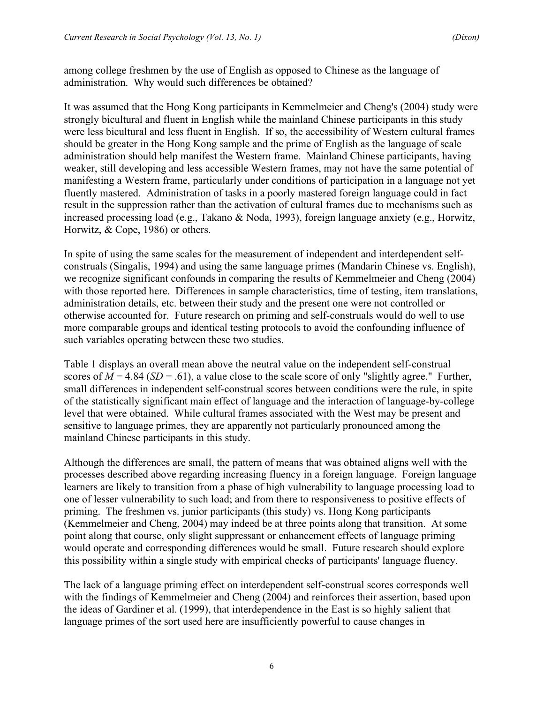among college freshmen by the use of English as opposed to Chinese as the language of administration. Why would such differences be obtained?

It was assumed that the Hong Kong participants in Kemmelmeier and Cheng's (2004) study were strongly bicultural and fluent in English while the mainland Chinese participants in this study were less bicultural and less fluent in English. If so, the accessibility of Western cultural frames should be greater in the Hong Kong sample and the prime of English as the language of scale administration should help manifest the Western frame. Mainland Chinese participants, having weaker, still developing and less accessible Western frames, may not have the same potential of manifesting a Western frame, particularly under conditions of participation in a language not yet fluently mastered. Administration of tasks in a poorly mastered foreign language could in fact result in the suppression rather than the activation of cultural frames due to mechanisms such as increased processing load (e.g., Takano & Noda, 1993), foreign language anxiety (e.g., Horwitz, Horwitz, & Cope, 1986) or others.

In spite of using the same scales for the measurement of independent and interdependent selfconstruals (Singalis, 1994) and using the same language primes (Mandarin Chinese vs. English), we recognize significant confounds in comparing the results of Kemmelmeier and Cheng (2004) with those reported here. Differences in sample characteristics, time of testing, item translations, administration details, etc. between their study and the present one were not controlled or otherwise accounted for. Future research on priming and self-construals would do well to use more comparable groups and identical testing protocols to avoid the confounding influence of such variables operating between these two studies.

Table 1 displays an overall mean above the neutral value on the independent self-construal scores of  $M = 4.84$  (*SD* = .61), a value close to the scale score of only "slightly agree." Further, small differences in independent self-construal scores between conditions were the rule, in spite of the statistically significant main effect of language and the interaction of language-by-college level that were obtained. While cultural frames associated with the West may be present and sensitive to language primes, they are apparently not particularly pronounced among the mainland Chinese participants in this study.

Although the differences are small, the pattern of means that was obtained aligns well with the processes described above regarding increasing fluency in a foreign language. Foreign language learners are likely to transition from a phase of high vulnerability to language processing load to one of lesser vulnerability to such load; and from there to responsiveness to positive effects of priming. The freshmen vs. junior participants (this study) vs. Hong Kong participants (Kemmelmeier and Cheng, 2004) may indeed be at three points along that transition. At some point along that course, only slight suppressant or enhancement effects of language priming would operate and corresponding differences would be small. Future research should explore this possibility within a single study with empirical checks of participants' language fluency.

The lack of a language priming effect on interdependent self-construal scores corresponds well with the findings of Kemmelmeier and Cheng (2004) and reinforces their assertion, based upon the ideas of Gardiner et al. (1999), that interdependence in the East is so highly salient that language primes of the sort used here are insufficiently powerful to cause changes in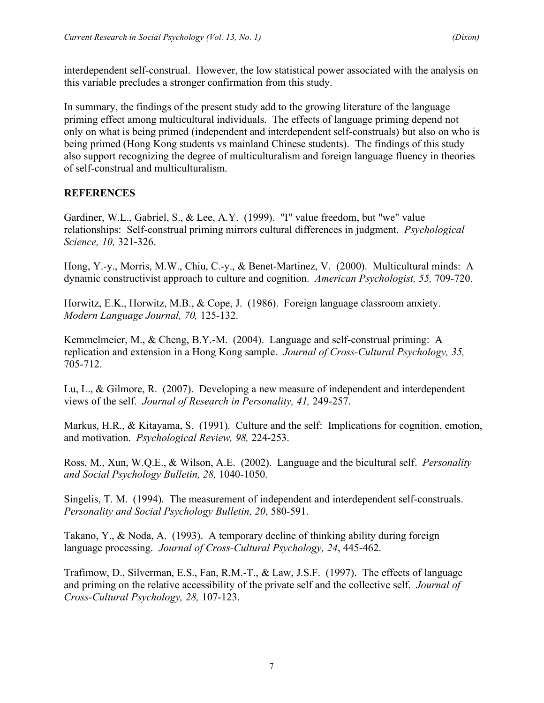interdependent self-construal. However, the low statistical power associated with the analysis on this variable precludes a stronger confirmation from this study.

In summary, the findings of the present study add to the growing literature of the language priming effect among multicultural individuals. The effects of language priming depend not only on what is being primed (independent and interdependent self-construals) but also on who is being primed (Hong Kong students vs mainland Chinese students). The findings of this study also support recognizing the degree of multiculturalism and foreign language fluency in theories of self-construal and multiculturalism.

## **REFERENCES**

Gardiner, W.L., Gabriel, S., & Lee, A.Y. (1999). "I" value freedom, but "we" value relationships: Self-construal priming mirrors cultural differences in judgment. *Psychological Science, 10,* 321-326.

Hong, Y.-y., Morris, M.W., Chiu, C.-y., & Benet-Martinez, V. (2000). Multicultural minds: A dynamic constructivist approach to culture and cognition. *American Psychologist, 55,* 709-720.

Horwitz, E.K., Horwitz, M.B., & Cope, J. (1986). Foreign language classroom anxiety. *Modern Language Journal, 70,* 125-132.

Kemmelmeier, M., & Cheng, B.Y.-M. (2004). Language and self-construal priming: A replication and extension in a Hong Kong sample. *Journal of Cross-Cultural Psychology, 35,* 705-712.

Lu, L., & Gilmore, R. (2007). Developing a new measure of independent and interdependent views of the self. *Journal of Research in Personality, 41,* 249-257.

Markus, H.R., & Kitayama, S. (1991). Culture and the self: Implications for cognition, emotion, and motivation. *Psychological Review, 98,* 224-253.

Ross, M., Xun, W.Q.E., & Wilson, A.E. (2002). Language and the bicultural self. *Personality and Social Psychology Bulletin, 28,* 1040-1050.

Singelis, T. M. (1994). The measurement of independent and interdependent self-construals. *Personality and Social Psychology Bulletin, 20*, 580-591.

Takano, Y., & Noda, A. (1993). A temporary decline of thinking ability during foreign language processing. *Journal of Cross-Cultural Psychology, 24*, 445-462.

Trafimow, D., Silverman, E.S., Fan, R.M.-T., & Law, J.S.F. (1997). The effects of language and priming on the relative accessibility of the private self and the collective self. *Journal of Cross-Cultural Psychology, 28,* 107-123.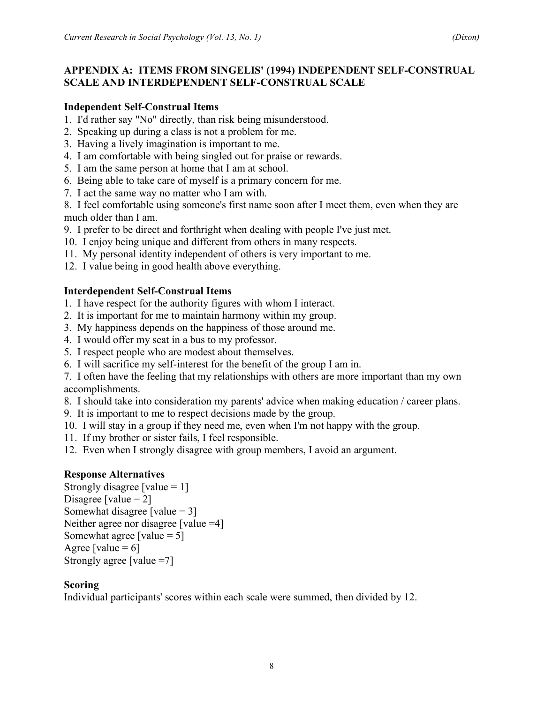## **APPENDIX A: ITEMS FROM SINGELIS' (1994) INDEPENDENT SELF-CONSTRUAL SCALE AND INTERDEPENDENT SELF-CONSTRUAL SCALE**

#### **Independent Self-Construal Items**

- 1. I'd rather say "No" directly, than risk being misunderstood.
- 2. Speaking up during a class is not a problem for me.
- 3. Having a lively imagination is important to me.
- 4. I am comfortable with being singled out for praise or rewards.
- 5. I am the same person at home that I am at school.
- 6. Being able to take care of myself is a primary concern for me.
- 7. I act the same way no matter who I am with.

8. I feel comfortable using someone's first name soon after I meet them, even when they are much older than I am.

- 9. I prefer to be direct and forthright when dealing with people I've just met.
- 10. I enjoy being unique and different from others in many respects.
- 11. My personal identity independent of others is very important to me.
- 12. I value being in good health above everything.

## **Interdependent Self-Construal Items**

- 1. I have respect for the authority figures with whom I interact.
- 2. It is important for me to maintain harmony within my group.
- 3. My happiness depends on the happiness of those around me.
- 4. I would offer my seat in a bus to my professor.
- 5. I respect people who are modest about themselves.
- 6. I will sacrifice my self-interest for the benefit of the group I am in.

7. I often have the feeling that my relationships with others are more important than my own accomplishments.

- 8. I should take into consideration my parents' advice when making education / career plans.
- 9. It is important to me to respect decisions made by the group.
- 10. I will stay in a group if they need me, even when I'm not happy with the group.
- 11. If my brother or sister fails, I feel responsible.
- 12. Even when I strongly disagree with group members, I avoid an argument.

## **Response Alternatives**

Strongly disagree [value  $= 1$ ] Disagree [value  $= 2$ ] Somewhat disagree [value  $= 3$ ] Neither agree nor disagree [value = 4] Somewhat agree [value  $= 5$ ] Agree [value  $= 6$ ] Strongly agree [value =7]

#### **Scoring**

Individual participants' scores within each scale were summed, then divided by 12.